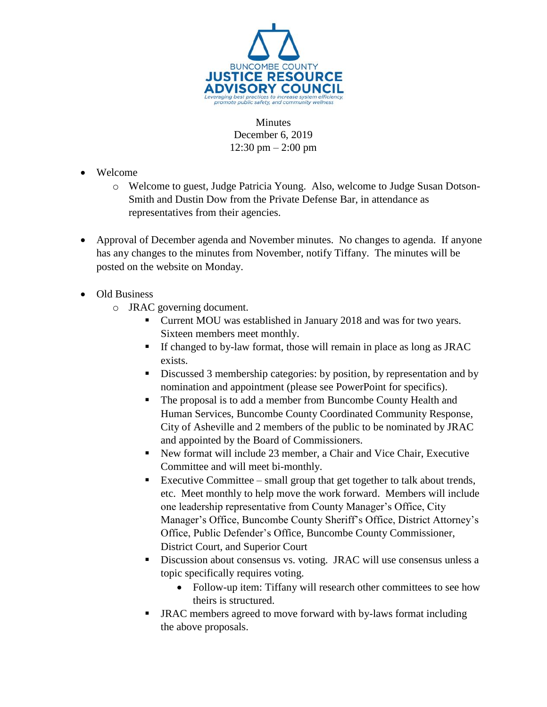

Minutes December 6, 2019 12:30 pm – 2:00 pm

- Welcome
	- o Welcome to guest, Judge Patricia Young. Also, welcome to Judge Susan Dotson-Smith and Dustin Dow from the Private Defense Bar, in attendance as representatives from their agencies.
- Approval of December agenda and November minutes. No changes to agenda. If anyone has any changes to the minutes from November, notify Tiffany. The minutes will be posted on the website on Monday.
- Old Business
	- o JRAC governing document.
		- Current MOU was established in January 2018 and was for two years. Sixteen members meet monthly.
		- If changed to by-law format, those will remain in place as long as JRAC exists.
		- Discussed 3 membership categories: by position, by representation and by nomination and appointment (please see PowerPoint for specifics).
		- The proposal is to add a member from Buncombe County Health and Human Services, Buncombe County Coordinated Community Response, City of Asheville and 2 members of the public to be nominated by JRAC and appointed by the Board of Commissioners.
		- New format will include 23 member, a Chair and Vice Chair, Executive Committee and will meet bi-monthly.
		- Executive Committee small group that get together to talk about trends, etc. Meet monthly to help move the work forward. Members will include one leadership representative from County Manager's Office, City Manager's Office, Buncombe County Sheriff's Office, District Attorney's Office, Public Defender's Office, Buncombe County Commissioner, District Court, and Superior Court
		- Discussion about consensus vs. voting. JRAC will use consensus unless a topic specifically requires voting.
			- Follow-up item: Tiffany will research other committees to see how theirs is structured.
		- JRAC members agreed to move forward with by-laws format including the above proposals.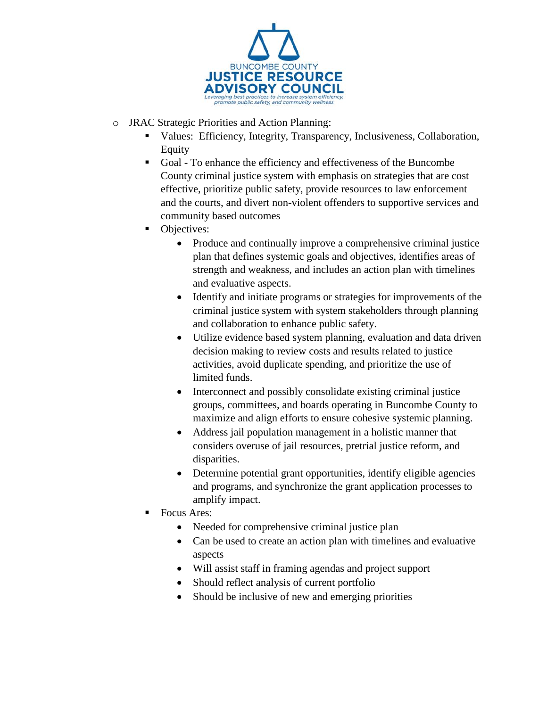

- o JRAC Strategic Priorities and Action Planning:
	- Values: Efficiency, Integrity, Transparency, Inclusiveness, Collaboration, Equity
	- Goal To enhance the efficiency and effectiveness of the Buncombe County criminal justice system with emphasis on strategies that are cost effective, prioritize public safety, provide resources to law enforcement and the courts, and divert non-violent offenders to supportive services and community based outcomes
	- Objectives:
		- Produce and continually improve a comprehensive criminal justice plan that defines systemic goals and objectives, identifies areas of strength and weakness, and includes an action plan with timelines and evaluative aspects.
		- Identify and initiate programs or strategies for improvements of the criminal justice system with system stakeholders through planning and collaboration to enhance public safety.
		- Utilize evidence based system planning, evaluation and data driven decision making to review costs and results related to justice activities, avoid duplicate spending, and prioritize the use of limited funds.
		- Interconnect and possibly consolidate existing criminal justice groups, committees, and boards operating in Buncombe County to maximize and align efforts to ensure cohesive systemic planning.
		- Address jail population management in a holistic manner that considers overuse of jail resources, pretrial justice reform, and disparities.
		- Determine potential grant opportunities, identify eligible agencies and programs, and synchronize the grant application processes to amplify impact.
	- Focus Ares:
		- Needed for comprehensive criminal justice plan
		- Can be used to create an action plan with timelines and evaluative aspects
		- Will assist staff in framing agendas and project support
		- Should reflect analysis of current portfolio
		- Should be inclusive of new and emerging priorities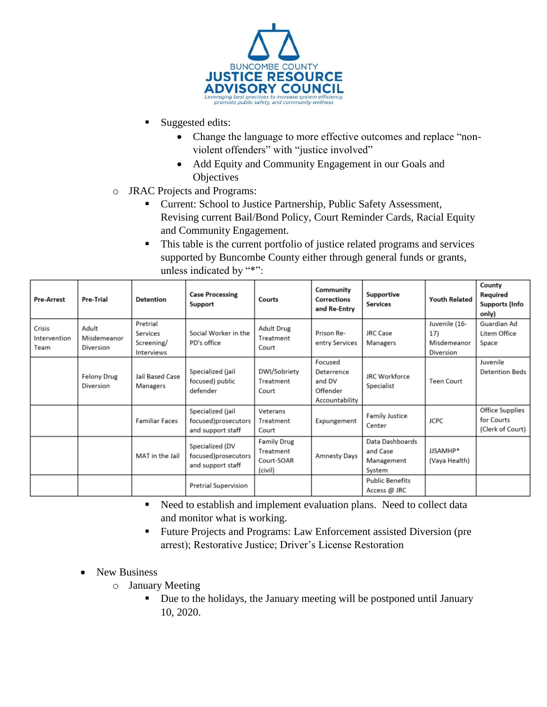

- Suggested edits:
	- Change the language to more effective outcomes and replace "nonviolent offenders" with "justice involved"
	- Add Equity and Community Engagement in our Goals and **Objectives**
- o JRAC Projects and Programs:
	- Current: School to Justice Partnership, Public Safety Assessment, Revising current Bail/Bond Policy, Court Reminder Cards, Racial Equity and Community Engagement.
	- This table is the current portfolio of justice related programs and services supported by Buncombe County either through general funds or grants, unless indicated by "\*":

| <b>Pre-Arrest</b>              | Pre-Trial                         | <b>Detention</b>                                 | <b>Case Processing</b><br>Support                             | Courts                                                   | Community<br><b>Corrections</b><br>and Re-Entry               | Supportive<br><b>Services</b>                       | <b>Youth Related</b>                             | County<br>Required<br><b>Supports (Info</b><br>only)     |
|--------------------------------|-----------------------------------|--------------------------------------------------|---------------------------------------------------------------|----------------------------------------------------------|---------------------------------------------------------------|-----------------------------------------------------|--------------------------------------------------|----------------------------------------------------------|
| Crisis<br>Intervention<br>Team | Adult<br>Misdemeanor<br>Diversion | Pretrial<br>Services<br>Screening/<br>Interviews | Social Worker in the<br>PD's office                           | <b>Adult Drug</b><br>Treatment<br>Court                  | Prison Re-<br>entry Services                                  | <b>JRC Case</b><br>Managers                         | Juvenile (16-<br>17)<br>Misdemeanor<br>Diversion | Guardian Ad<br>Litem Office<br>Space                     |
|                                | Felony Drug<br>Diversion          | Jail Based Case<br>Managers                      | Specialized (jail<br>focused) public<br>defender              | DWI/Sobriety<br>Treatment<br>Court                       | Focused<br>Deterrence<br>and DV<br>Offender<br>Accountability | <b>JRC Workforce</b><br>Specialist                  | <b>Teen Court</b>                                | Juvenile<br><b>Detention Beds</b>                        |
|                                |                                   | <b>Familiar Faces</b>                            | Specialized (jail<br>focused)prosecutors<br>and support staff | Veterans<br>Treatment<br>Court                           | Expungement                                                   | <b>Family Justice</b><br>Center                     | <b>JCPC</b>                                      | <b>Office Supplies</b><br>for Courts<br>(Clerk of Court) |
|                                |                                   | MAT in the Jail                                  | Specialized (DV<br>focused)prosecutors<br>and support staff   | <b>Family Drug</b><br>Treatment<br>Court-SOAR<br>(civil) | <b>Amnesty Days</b>                                           | Data Dashboards<br>and Case<br>Management<br>System | JJSAMHP*<br>(Vaya Health)                        |                                                          |
|                                |                                   |                                                  | <b>Pretrial Supervision</b>                                   |                                                          |                                                               | <b>Public Benefits</b><br>Access @ JRC              |                                                  |                                                          |

- Need to establish and implement evaluation plans. Need to collect data and monitor what is working.
- Future Projects and Programs: Law Enforcement assisted Diversion (pre arrest); Restorative Justice; Driver's License Restoration
- New Business
	- o January Meeting
		- Due to the holidays, the January meeting will be postponed until January 10, 2020.